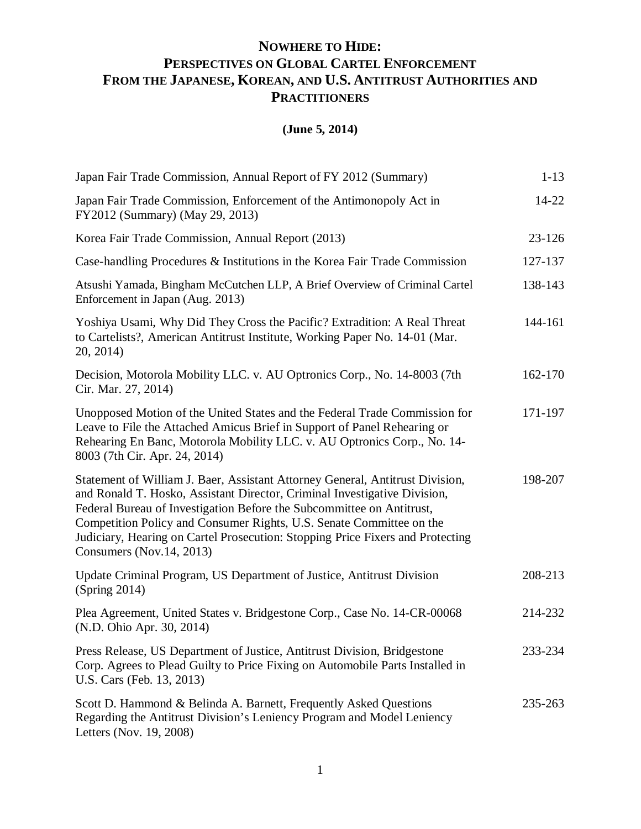## **NOWHERE TO HIDE: PERSPECTIVES ON GLOBAL CARTEL ENFORCEMENT FROM THE JAPANESE, KOREAN, AND U.S. ANTITRUST AUTHORITIES AND PRACTITIONERS**

## **(June 5, 2014)**

| Japan Fair Trade Commission, Annual Report of FY 2012 (Summary)                                                                                                                                                                                                                                                                                                                                                           | $1 - 13$   |
|---------------------------------------------------------------------------------------------------------------------------------------------------------------------------------------------------------------------------------------------------------------------------------------------------------------------------------------------------------------------------------------------------------------------------|------------|
| Japan Fair Trade Commission, Enforcement of the Antimonopoly Act in<br>FY2012 (Summary) (May 29, 2013)                                                                                                                                                                                                                                                                                                                    | $14 - 22$  |
| Korea Fair Trade Commission, Annual Report (2013)                                                                                                                                                                                                                                                                                                                                                                         | $23 - 126$ |
| Case-handling Procedures & Institutions in the Korea Fair Trade Commission                                                                                                                                                                                                                                                                                                                                                | 127-137    |
| Atsushi Yamada, Bingham McCutchen LLP, A Brief Overview of Criminal Cartel<br>Enforcement in Japan (Aug. 2013)                                                                                                                                                                                                                                                                                                            | 138-143    |
| Yoshiya Usami, Why Did They Cross the Pacific? Extradition: A Real Threat<br>to Cartelists?, American Antitrust Institute, Working Paper No. 14-01 (Mar.<br>20, 2014)                                                                                                                                                                                                                                                     | 144-161    |
| Decision, Motorola Mobility LLC. v. AU Optronics Corp., No. 14-8003 (7th<br>Cir. Mar. 27, 2014)                                                                                                                                                                                                                                                                                                                           | 162-170    |
| Unopposed Motion of the United States and the Federal Trade Commission for<br>Leave to File the Attached Amicus Brief in Support of Panel Rehearing or<br>Rehearing En Banc, Motorola Mobility LLC. v. AU Optronics Corp., No. 14-<br>8003 (7th Cir. Apr. 24, 2014)                                                                                                                                                       | 171-197    |
| Statement of William J. Baer, Assistant Attorney General, Antitrust Division,<br>and Ronald T. Hosko, Assistant Director, Criminal Investigative Division,<br>Federal Bureau of Investigation Before the Subcommittee on Antitrust,<br>Competition Policy and Consumer Rights, U.S. Senate Committee on the<br>Judiciary, Hearing on Cartel Prosecution: Stopping Price Fixers and Protecting<br>Consumers (Nov.14, 2013) | 198-207    |
| Update Criminal Program, US Department of Justice, Antitrust Division<br>(Spring 2014)                                                                                                                                                                                                                                                                                                                                    | 208-213    |
| Plea Agreement, United States v. Bridgestone Corp., Case No. 14-CR-00068<br>(N.D. Ohio Apr. 30, 2014)                                                                                                                                                                                                                                                                                                                     | 214-232    |
| Press Release, US Department of Justice, Antitrust Division, Bridgestone<br>Corp. Agrees to Plead Guilty to Price Fixing on Automobile Parts Installed in<br>U.S. Cars (Feb. 13, 2013)                                                                                                                                                                                                                                    | 233-234    |
| Scott D. Hammond & Belinda A. Barnett, Frequently Asked Questions<br>Regarding the Antitrust Division's Leniency Program and Model Leniency<br>Letters (Nov. 19, 2008)                                                                                                                                                                                                                                                    | 235-263    |